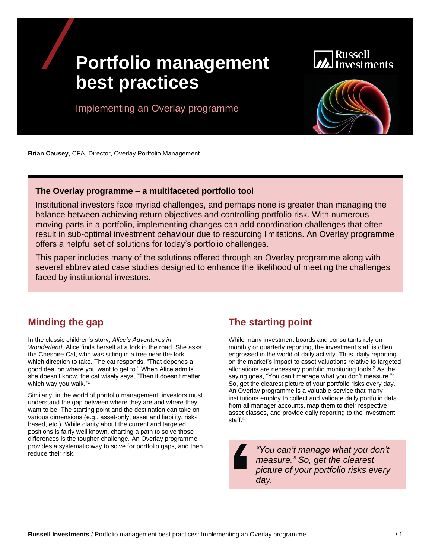# **Portfolio management best practices**

estments

Implementing an Overlay programme



**Brian Causey**, CFA, Director, Overlay Portfolio Management

#### **The Overlay programme – a multifaceted portfolio tool**

Institutional investors face myriad challenges, and perhaps none is greater than managing the balance between achieving return objectives and controlling portfolio risk. With numerous moving parts in a portfolio, implementing changes can add coordination challenges that often result in sub-optimal investment behaviour due to resourcing limitations. An Overlay programme offers a helpful set of solutions for today's portfolio challenges.

This paper includes many of the solutions offered through an Overlay programme along with several abbreviated case studies designed to enhance the likelihood of meeting the challenges faced by institutional investors.

## **Minding the gap**

In the classic children's story, *Alice's Adventures in Wonderland*, Alice finds herself at a fork in the road. She asks the Cheshire Cat, who was sitting in a tree near the fork, which direction to take. The cat responds, "That depends a good deal on where you want to get to." When Alice admits she doesn't know, the cat wisely says, "Then it doesn't matter which way you walk."<sup>1</sup>

Similarly, in the world of portfolio management, investors must understand the gap between where they are and where they want to be. The starting point and the destination can take on various dimensions (e.g., asset-only, asset and liability, riskbased, etc.). While clarity about the current and targeted positions is fairly well known, charting a path to solve those differences is the tougher challenge. An Overlay programme provides a systematic way to solve for portfolio gaps, and then reduce their risk.

## **The starting point**

While many investment boards and consultants rely on monthly or quarterly reporting, the investment staff is often engrossed in the world of daily activity. Thus, daily reporting on the market's impact to asset valuations relative to targeted allocations are necessary portfolio monitoring tools. <sup>2</sup> As the saying goes, "You can't manage what you don't measure."3 So, get the clearest picture of your portfolio risks every day. An Overlay programme is a valuable service that many institutions employ to collect and validate daily portfolio data from all manager accounts, map them to their respective asset classes, and provide daily reporting to the investment staff. 4

> *"You can't manage what you don't measure." So, get the clearest picture of your portfolio risks every day.*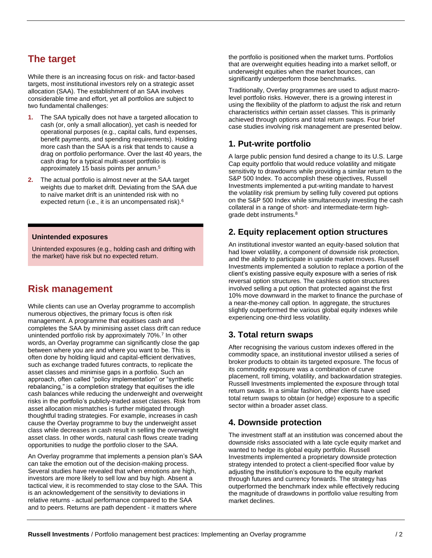## **The target**

While there is an increasing focus on risk- and factor-based targets, most institutional investors rely on a strategic asset allocation (SAA). The establishment of an SAA involves considerable time and effort, yet all portfolios are subject to two fundamental challenges:

- **1.** The SAA typically does not have a targeted allocation to cash (or, only a small allocation), yet cash is needed for operational purposes (e.g., capital calls, fund expenses, benefit payments, and spending requirements). Holding more cash than the SAA is a risk that tends to cause a drag on portfolio performance. Over the last 40 years, the cash drag for a typical multi-asset portfolio is approximately 15 basis points per annum.<sup>5</sup>
- **2.** The actual portfolio is almost never at the SAA target weights due to market drift. Deviating from the SAA due to naïve market drift is an unintended risk with no expected return (i.e., it is an uncompensated risk).<sup>6</sup>

#### **Unintended exposures**

Unintended exposures (e.g., holding cash and drifting with the market) have risk but no expected return.

## **Risk management**

While clients can use an Overlay programme to accomplish numerous objectives, the primary focus is often risk management. A programme that equitises cash and completes the SAA by minimising asset class drift can reduce unintended portfolio risk by approximately 70%.<sup>7</sup> In other words, an Overlay programme can significantly close the gap between where you are and where you want to be. This is often done by holding liquid and capital-efficient derivatives, such as exchange traded futures contracts, to replicate the asset classes and minimise gaps in a portfolio. Such an approach, often called "policy implementation" or "synthetic rebalancing," is a completion strategy that equitises the idle cash balances while reducing the underweight and overweight risks in the portfolio's publicly-traded asset classes. Risk from asset allocation mismatches is further mitigated through thoughtful trading strategies. For example, increases in cash cause the Overlay programme to buy the underweight asset class while decreases in cash result in selling the overweight asset class. In other words, natural cash flows create trading opportunities to nudge the portfolio closer to the SAA.

An Overlay programme that implements a pension plan's SAA can take the emotion out of the decision-making process. Several studies have revealed that when emotions are high, investors are more likely to sell low and buy high. Absent a tactical view, it is recommended to stay close to the SAA. This is an acknowledgement of the sensitivity to deviations in relative returns - actual performance compared to the SAA and to peers. Returns are path dependent - it matters where

the portfolio is positioned when the market turns. Portfolios that are overweight equities heading into a market selloff, or underweight equities when the market bounces, can significantly underperform those benchmarks.

Traditionally, Overlay programmes are used to adjust macrolevel portfolio risks. However, there is a growing interest in using the flexibility of the platform to adjust the risk and return characteristics *within* certain asset classes. This is primarily achieved through options and total return swaps. Four brief case studies involving risk management are presented below.

#### **1. Put-write portfolio**

A large public pension fund desired a change to its U.S. Large Cap equity portfolio that would reduce volatility and mitigate sensitivity to drawdowns while providing a similar return to the S&P 500 Index. To accomplish these objectives, Russell Investments implemented a put-writing mandate to harvest the volatility risk premium by selling fully covered put options on the S&P 500 Index while simultaneously investing the cash collateral in a range of short- and intermediate-term highgrade debt instruments.<sup>8</sup>

#### **2. Equity replacement option structures**

An institutional investor wanted an equity-based solution that had lower volatility, a component of downside risk protection, and the ability to participate in upside market moves. Russell Investments implemented a solution to replace a portion of the client's existing passive equity exposure with a series of risk reversal option structures. The cashless option structures involved selling a put option that protected against the first 10% move downward in the market to finance the purchase of a near-the-money call option. In aggregate, the structures slightly outperformed the various global equity indexes while experiencing one-third less volatility.

#### **3. Total return swaps**

After recognising the various custom indexes offered in the commodity space, an institutional investor utilised a series of broker products to obtain its targeted exposure. The focus of its commodity exposure was a combination of curve placement, roll timing, volatility, and backwardation strategies. Russell Investments implemented the exposure through total return swaps. In a similar fashion, other clients have used total return swaps to obtain (or hedge) exposure to a specific sector within a broader asset class.

#### **4. Downside protection**

The investment staff at an institution was concerned about the downside risks associated with a late cycle equity market and wanted to hedge its global equity portfolio. Russell Investments implemented a proprietary downside protection strategy intended to protect a client-specified floor value by adjusting the institution's exposure to the equity market through futures and currency forwards. The strategy has outperformed the benchmark index while effectively reducing the magnitude of drawdowns in portfolio value resulting from market declines.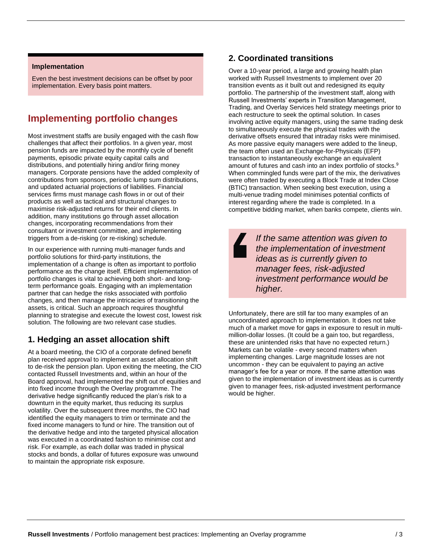#### **Implementation**

Even the best investment decisions can be offset by poor implementation. Every basis point matters.

# **Implementing portfolio changes**

Most investment staffs are busily engaged with the cash flow challenges that affect their portfolios. In a given year, most pension funds are impacted by the monthly cycle of benefit payments, episodic private equity capital calls and distributions, and potentially hiring and/or firing money managers. Corporate pensions have the added complexity of contributions from sponsors, periodic lump sum distributions, and updated actuarial projections of liabilities. Financial services firms must manage cash flows in or out of their products as well as tactical and structural changes to maximise risk-adjusted returns for their end clients. In addition, many institutions go through asset allocation changes, incorporating recommendations from their consultant or investment committee, and implementing triggers from a de-risking (or re-risking) schedule.

In our experience with running multi-manager funds and portfolio solutions for third-party institutions, the implementation of a change is often as important to portfolio performance as the change itself. Efficient implementation of portfolio changes is vital to achieving both short- and longterm performance goals. Engaging with an implementation partner that can hedge the risks associated with portfolio changes, and then manage the intricacies of transitioning the assets, is critical. Such an approach requires thoughtful planning to strategise and execute the lowest cost, lowest risk solution. The following are two relevant case studies.

#### **1. Hedging an asset allocation shift**

At a board meeting, the CIO of a corporate defined benefit plan received approval to implement an asset allocation shift to de-risk the pension plan. Upon exiting the meeting, the CIO contacted Russell Investments and, within an hour of the Board approval, had implemented the shift out of equities and into fixed income through the Overlay programme. The derivative hedge significantly reduced the plan's risk to a downturn in the equity market, thus reducing its surplus volatility. Over the subsequent three months, the CIO had identified the equity managers to trim or terminate and the fixed income managers to fund or hire. The transition out of the derivative hedge and into the targeted physical allocation was executed in a coordinated fashion to minimise cost and risk. For example, as each dollar was traded in physical stocks and bonds, a dollar of futures exposure was unwound to maintain the appropriate risk exposure.

#### **2. Coordinated transitions**

Over a 10-year period, a large and growing health plan worked with Russell Investments to implement over 20 transition events as it built out and redesigned its equity portfolio. The partnership of the investment staff, along with Russell Investments' experts in Transition Management, Trading, and Overlay Services held strategy meetings prior to each restructure to seek the optimal solution. In cases involving active equity managers, using the same trading desk to simultaneously execute the physical trades with the derivative offsets ensured that intraday risks were minimised. As more passive equity managers were added to the lineup, the team often used an Exchange-for-Physicals (EFP) transaction to instantaneously exchange an equivalent amount of futures and cash into an index portfolio of stocks.<sup>9</sup> When commingled funds were part of the mix, the derivatives were often traded by executing a Block Trade at Index Close (BTIC) transaction. When seeking best execution, using a multi-venue trading model minimises potential conflicts of interest regarding where the trade is completed. In a competitive bidding market, when banks compete, clients win.

> *If the same attention was given to the implementation of investment ideas as is currently given to manager fees, risk-adjusted investment performance would be higher.*

Unfortunately, there are still far too many examples of an uncoordinated approach to implementation. It does not take much of a market move for gaps in exposure to result in multimillion-dollar losses. (It could be a gain too, but regardless, these are unintended risks that have no expected return.) Markets can be volatile - every second matters when implementing changes. Large magnitude losses are not uncommon - they can be equivalent to paying an active manager's fee for a year or more. If the same attention was given to the implementation of investment ideas as is currently given to manager fees, risk-adjusted investment performance would be higher.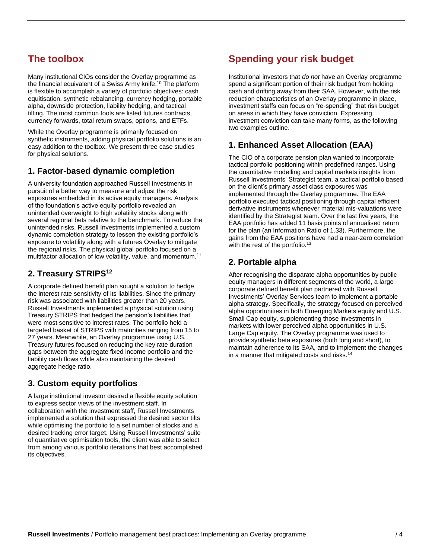## **The toolbox**

Many institutional CIOs consider the Overlay programme as the financial equivalent of a Swiss Army knife.<sup>10</sup> The platform is flexible to accomplish a variety of portfolio objectives: cash equitisation, synthetic rebalancing, currency hedging, portable alpha, downside protection, liability hedging, and tactical tilting. The most common tools are listed futures contracts, currency forwards, total return swaps, options, and ETFs.

While the Overlay programme is primarily focused on synthetic instruments, adding physical portfolio solutions is an easy addition to the toolbox. We present three case studies for physical solutions.

#### **1. Factor-based dynamic completion**

A university foundation approached Russell Investments in pursuit of a better way to measure and adjust the risk exposures embedded in its active equity managers. Analysis of the foundation's active equity portfolio revealed an unintended overweight to high volatility stocks along with several regional bets relative to the benchmark. To reduce the unintended risks, Russell Investments implemented a custom dynamic completion strategy to lessen the existing portfolio's exposure to volatility along with a futures Overlay to mitigate the regional risks. The physical global portfolio focused on a multifactor allocation of low volatility, value, and momentum.<sup>11</sup>

#### **2. Treasury STRIPS<sup>12</sup>**

A corporate defined benefit plan sought a solution to hedge the interest rate sensitivity of its liabilities. Since the primary risk was associated with liabilities greater than 20 years, Russell Investments implemented a physical solution using Treasury STRIPS that hedged the pension's liabilities that were most sensitive to interest rates. The portfolio held a targeted basket of STRIPS with maturities ranging from 15 to 27 years. Meanwhile, an Overlay programme using U.S. Treasury futures focused on reducing the key rate duration gaps between the aggregate fixed income portfolio and the liability cash flows while also maintaining the desired aggregate hedge ratio.

#### **3. Custom equity portfolios**

A large institutional investor desired a flexible equity solution to express sector views of the investment staff. In collaboration with the investment staff, Russell Investments implemented a solution that expressed the desired sector tilts while optimising the portfolio to a set number of stocks and a desired tracking error target. Using Russell Investments' suite of quantitative optimisation tools, the client was able to select from among various portfolio iterations that best accomplished its objectives.

## **Spending your risk budget**

Institutional investors that *do not* have an Overlay programme spend a significant portion of their risk budget from holding cash and drifting away from their SAA. However, with the risk reduction characteristics of an Overlay programme in place, investment staffs can focus on "re-spending" that risk budget on areas in which they have conviction. Expressing investment conviction can take many forms, as the following two examples outline.

## **1. Enhanced Asset Allocation (EAA)**

The CIO of a corporate pension plan wanted to incorporate tactical portfolio positioning within predefined ranges. Using the quantitative modelling and capital markets insights from Russell Investments' Strategist team, a tactical portfolio based on the client's primary asset class exposures was implemented through the Overlay programme. The EAA portfolio executed tactical positioning through capital efficient derivative instruments whenever material mis-valuations were identified by the Strategist team. Over the last five years, the EAA portfolio has added 11 basis points of annualised return for the plan (an Information Ratio of 1.33). Furthermore, the gains from the EAA positions have had a near-zero correlation with the rest of the portfolio.<sup>13</sup>

#### **2. Portable alpha**

After recognising the disparate alpha opportunities by public equity managers in different segments of the world, a large corporate defined benefit plan partnered with Russell Investments' Overlay Services team to implement a portable alpha strategy. Specifically, the strategy focused on perceived alpha opportunities in both Emerging Markets equity and U.S. Small Cap equity, supplementing those investments in markets with lower perceived alpha opportunities in U.S. Large Cap equity. The Overlay programme was used to provide synthetic beta exposures (both long and short), to maintain adherence to its SAA, and to implement the changes in a manner that mitigated costs and risks.<sup>14</sup>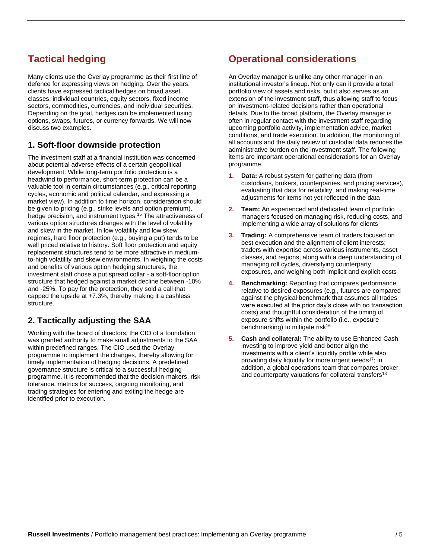# **Tactical hedging**

Many clients use the Overlay programme as their first line of defence for expressing views on hedging. Over the years, clients have expressed tactical hedges on broad asset classes, individual countries, equity sectors, fixed income sectors, commodities, currencies, and individual securities. Depending on the goal, hedges can be implemented using options, swaps, futures, or currency forwards. We will now discuss two examples.

#### **1. Soft-floor downside protection**

The investment staff at a financial institution was concerned about potential adverse effects of a certain geopolitical development. While long-term portfolio protection is a headwind to performance, short-term protection can be a valuable tool in certain circumstances (e.g., critical reporting cycles, economic and political calendar, and expressing a market view). In addition to time horizon, consideration should be given to pricing (e.g., strike levels and option premium), hedge precision, and instrument types.<sup>15</sup> The attractiveness of various option structures changes with the level of volatility and skew in the market. In low volatility and low skew regimes, hard floor protection (e.g., buying a put) tends to be well priced relative to history. Soft floor protection and equity replacement structures tend to be more attractive in mediumto-high volatility and skew environments. In weighing the costs and benefits of various option hedging structures, the investment staff chose a put spread collar - a soft-floor option structure that hedged against a market decline between -10% and -25%. To pay for the protection, they sold a call that capped the upside at +7.3%, thereby making it a cashless structure.

#### **2. Tactically adjusting the SAA**

Working with the board of directors, the CIO of a foundation was granted authority to make small adjustments to the SAA within predefined ranges. The CIO used the Overlay programme to implement the changes, thereby allowing for timely implementation of hedging decisions. A predefined governance structure is critical to a successful hedging programme. It is recommended that the decision-makers, risk tolerance, metrics for success, ongoing monitoring, and trading strategies for entering and exiting the hedge are identified prior to execution.

## **Operational considerations**

An Overlay manager is unlike any other manager in an institutional investor's lineup. Not only can it provide a total portfolio view of assets and risks, but it also serves as an extension of the investment staff, thus allowing staff to focus on investment-related decisions rather than operational details. Due to the broad platform, the Overlay manager is often in regular contact with the investment staff regarding upcoming portfolio activity, implementation advice, market conditions, and trade execution. In addition, the monitoring of all accounts and the daily review of custodial data reduces the administrative burden on the investment staff. The following items are important operational considerations for an Overlay programme.

- **1. Data:** A robust system for gathering data (from custodians, brokers, counterparties, and pricing services), evaluating that data for reliability, and making real-time adjustments for items not yet reflected in the data
- **2. Team:** An experienced and dedicated team of portfolio managers focused on managing risk, reducing costs, and implementing a wide array of solutions for clients
- **3. Trading:** A comprehensive team of traders focused on best execution and the alignment of client interests; traders with expertise across various instruments, asset classes, and regions, along with a deep understanding of managing roll cycles, diversifying counterparty exposures, and weighing both implicit and explicit costs
- **4. Benchmarking:** Reporting that compares performance relative to desired exposures (e.g., futures are compared against the physical benchmark that assumes all trades were executed at the prior day's close with no transaction costs) and thoughtful consideration of the timing of exposure shifts within the portfolio (i.e., exposure benchmarking) to mitigate risk<sup>16</sup>
- **5. Cash and collateral:** The ability to use Enhanced Cash investing to improve yield and better align the investments with a client's liquidity profile while also providing daily liquidity for more urgent needs<sup>17</sup>; in addition, a global operations team that compares broker and counterparty valuations for collateral transfers<sup>18</sup>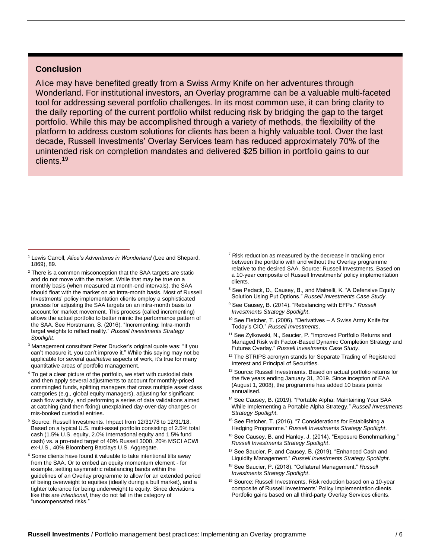#### **Conclusion**

Alice may have benefited greatly from a Swiss Army Knife on her adventures through Wonderland. For institutional investors, an Overlay programme can be a valuable multi-faceted tool for addressing several portfolio challenges. In its most common use, it can bring clarity to the daily reporting of the current portfolio whilst reducing risk by bridging the gap to the target portfolio. While this may be accomplished through a variety of methods, the flexibility of the platform to address custom solutions for clients has been a highly valuable tool. Over the last decade, Russell Investments' Overlay Services team has reduced approximately 70% of the unintended risk on completion mandates and delivered \$25 billion in portfolio gains to our clients.19

- $2$  There is a common misconception that the SAA targets are static and do not move with the market. While that may be true on a monthly basis (when measured at month-end intervals), the SAA should float with the market on an intra-month basis. Most of Russell Investments' policy implementation clients employ a sophisticated process for adjusting the SAA targets on an intra-month basis to account for market movement. This process (called incrementing) allows the actual portfolio to better mimic the performance pattern of the SAA. See Horstmann, S. (2016). "Incrementing: Intra-month target weights to reflect reality." *Russell Investments Strategy Spotlight*.
- <sup>3</sup> Management consultant Peter Drucker's original quote was: "If you can't measure it, you can't improve it." While this saying may not be applicable for several *qualitative* aspects of work, it's true for many quantitative areas of portfolio management.
- <sup>4</sup> To get a clear picture of the portfolio, we start with custodial data and then apply several adjustments to account for monthly-priced commingled funds, splitting managers that cross multiple asset class categories (e.g., global equity managers), adjusting for significant cash flow activity, and performing a series of data validations aimed at catching (and then fixing) unexplained day-over-day changes or mis-booked custodial entries.
- <sup>5</sup> Source: Russell Investments. Impact from 12/31/78 to 12/31/18. Based on a typical U.S. multi-asset portfolio consisting of 2.5% total cash (1.5% U.S. equity, 2.0% International equity and 1.5% fund cash) vs. a pro-rated target of 40% Russell 3000, 20% MSCI ACWI ex-U.S., 40% Bloomberg Barclays U.S. Aggregate.
- <sup>6</sup> Some clients have found it valuable to take intentional tilts away from the SAA. Or to embed an equity momentum element - for example, setting asymmetric rebalancing bands within the guidelines of an Overlay programme to allow for an extended period of being overweight to equities (ideally during a bull market), and a tighter tolerance for being underweight to equity. Since deviations like this are *intentional*, they do not fall in the category of "uncompensated risks."
- $7$  Risk reduction as measured by the decrease in tracking error between the portfolio with and without the Overlay programme relative to the desired SAA. Source: Russell Investments. Based on a 10-year composite of Russell Investments' policy implementation clients.
- <sup>8</sup> See Pedack, D., Causey, B., and Mainelli, K. "A Defensive Equity Solution Using Put Options." *Russell Investments Case Study*.
- <sup>9</sup> See Causey, B. (2014). "Rebalancing with EFPs." *Russell Investments Strategy Spotlight*.
- <sup>10</sup> See Fletcher, T. (2006). "Derivatives A Swiss Army Knife for Today's CIO." *Russell Investments*.
- <sup>11</sup> See Zylkowski, N., Saucier, P. "Improved Portfolio Returns and Managed Risk with Factor-Based Dynamic Completion Strategy and Futures Overlay." *Russell Investments Case Study*.
- <sup>12</sup> The STRIPS acronym stands for Separate Trading of Registered Interest and Principal of Securities.
- <sup>13</sup> Source: Russell Investments. Based on actual portfolio returns for the five years ending January 31, 2019. Since inception of EAA (August 1, 2008), the programme has added 10 basis points annualised.
- <sup>14</sup> See Causey, B. (2019). "Portable Alpha: Maintaining Your SAA While Implementing a Portable Alpha Strategy." *Russell Investments Strategy Spotlight*.
- <sup>15</sup> See Fletcher, T. (2016). "7 Considerations for Establishing a Hedging Programme." *Russell Investments Strategy Spotlight*.
- <sup>16</sup> See Causey, B. and Hanley, J. (2014). "Exposure Benchmarking." *Russell Investments Strategy Spotlight*.
- <sup>17</sup> See Saucier, P. and Causey, B. (2019). "Enhanced Cash and Liquidity Management." *Russell Investments Strategy Spotlight*.
- <sup>18</sup> See Saucier, P. (2018). "Collateral Management." *Russell Investments Strategy Spotlight*.
- <sup>19</sup> Source: Russell Investments. Risk reduction based on a 10-year composite of Russell Investments' Policy Implementation clients. Portfolio gains based on all third-party Overlay Services clients.

<sup>1</sup> Lewis Carroll, *Alice's Adventures in Wonderland* (Lee and Shepard, 1869), 89.